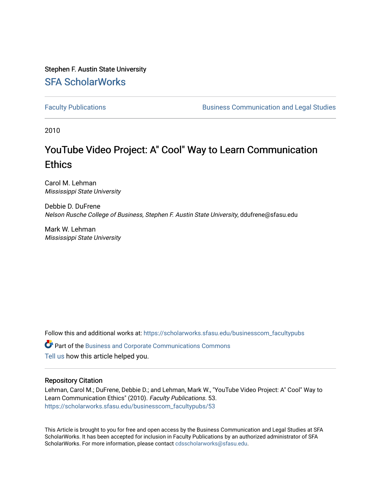# Stephen F. Austin State University [SFA ScholarWorks](https://scholarworks.sfasu.edu/)

[Faculty Publications](https://scholarworks.sfasu.edu/businesscom_facultypubs) **Business Communication and Legal Studies** 

2010

# YouTube Video Project: A" Cool" Way to Learn Communication **Ethics**

Carol M. Lehman Mississippi State University

Debbie D. DuFrene Nelson Rusche College of Business, Stephen F. Austin State University, ddufrene@sfasu.edu

Mark W. Lehman Mississippi State University

Follow this and additional works at: [https://scholarworks.sfasu.edu/businesscom\\_facultypubs](https://scholarworks.sfasu.edu/businesscom_facultypubs?utm_source=scholarworks.sfasu.edu%2Fbusinesscom_facultypubs%2F53&utm_medium=PDF&utm_campaign=PDFCoverPages) 

Part of the [Business and Corporate Communications Commons](http://network.bepress.com/hgg/discipline/627?utm_source=scholarworks.sfasu.edu%2Fbusinesscom_facultypubs%2F53&utm_medium=PDF&utm_campaign=PDFCoverPages)

[Tell us](http://sfasu.qualtrics.com/SE/?SID=SV_0qS6tdXftDLradv) how this article helped you.

# Repository Citation

Lehman, Carol M.; DuFrene, Debbie D.; and Lehman, Mark W., "YouTube Video Project: A" Cool" Way to Learn Communication Ethics" (2010). Faculty Publications. 53. [https://scholarworks.sfasu.edu/businesscom\\_facultypubs/53](https://scholarworks.sfasu.edu/businesscom_facultypubs/53?utm_source=scholarworks.sfasu.edu%2Fbusinesscom_facultypubs%2F53&utm_medium=PDF&utm_campaign=PDFCoverPages) 

This Article is brought to you for free and open access by the Business Communication and Legal Studies at SFA ScholarWorks. It has been accepted for inclusion in Faculty Publications by an authorized administrator of SFA ScholarWorks. For more information, please contact [cdsscholarworks@sfasu.edu.](mailto:cdsscholarworks@sfasu.edu)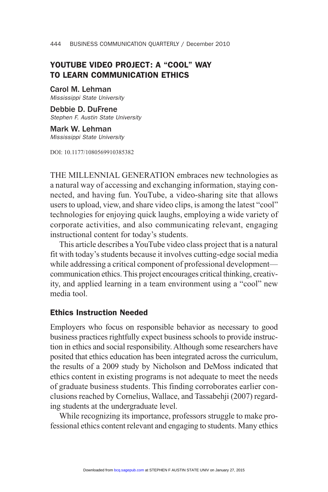## YOUTUBE VIDEO PROJECT: A "COOL" WAY TO LEARN COMMUNICATION ETHICS

Carol M. Lehman *Mississippi State University*

Debbie D. DuFrene *Stephen F. Austin State University*

Mark W. Lehman *Mississippi State University*

DOI: 10.1177/1080569910385382

THE MILLENNIAL GENERATION embraces new technologies as a natural way of accessing and exchanging information, staying connected, and having fun. YouTube, a video-sharing site that allows users to upload, view, and share video clips, is among the latest "cool" technologies for enjoying quick laughs, employing a wide variety of corporate activities, and also communicating relevant, engaging instructional content for today's students.

This article describes a YouTube video class project that is a natural fit with today's students because it involves cutting-edge social media while addressing a critical component of professional development communication ethics. This project encourages critical thinking, creativity, and applied learning in a team environment using a "cool" new media tool.

#### Ethics Instruction Needed

Employers who focus on responsible behavior as necessary to good business practices rightfully expect business schools to provide instruction in ethics and social responsibility. Although some researchers have posited that ethics education has been integrated across the curriculum, the results of a 2009 study by Nicholson and DeMoss indicated that ethics content in existing programs is not adequate to meet the needs of graduate business students. This finding corroborates earlier conclusions reached by Cornelius, Wallace, and Tassabehji (2007) regarding students at the undergraduate level.

While recognizing its importance, professors struggle to make professional ethics content relevant and engaging to students. Many ethics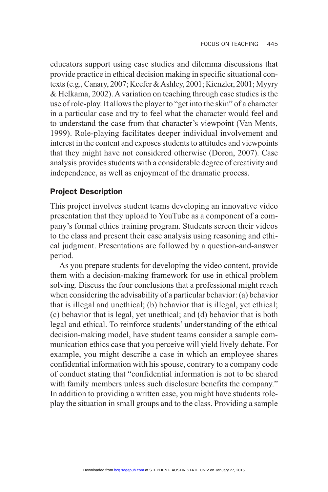educators support using case studies and dilemma discussions that provide practice in ethical decision making in specific situational contexts (e.g., Canary, 2007; Keefer & Ashley, 2001; Kienzler, 2001; Myyry & Helkama, 2002). A variation on teaching through case studies is the use of role-play. It allows the player to "get into the skin" of a character in a particular case and try to feel what the character would feel and to understand the case from that character's viewpoint (Van Ments, 1999). Role-playing facilitates deeper individual involvement and interest in the content and exposes students to attitudes and viewpoints that they might have not considered otherwise (Doron, 2007). Case analysis provides students with a considerable degree of creativity and independence, as well as enjoyment of the dramatic process.

#### Project Description

This project involves student teams developing an innovative video presentation that they upload to YouTube as a component of a company's formal ethics training program. Students screen their videos to the class and present their case analysis using reasoning and ethical judgment. Presentations are followed by a question-and-answer period.

As you prepare students for developing the video content, provide them with a decision-making framework for use in ethical problem solving. Discuss the four conclusions that a professional might reach when considering the advisability of a particular behavior: (a) behavior that is illegal and unethical; (b) behavior that is illegal, yet ethical; (c) behavior that is legal, yet unethical; and (d) behavior that is both legal and ethical. To reinforce students' understanding of the ethical decision-making model, have student teams consider a sample communication ethics case that you perceive will yield lively debate. For example, you might describe a case in which an employee shares confidential information with his spouse, contrary to a company code of conduct stating that "confidential information is not to be shared with family members unless such disclosure benefits the company." In addition to providing a written case, you might have students roleplay the situation in small groups and to the class. Providing a sample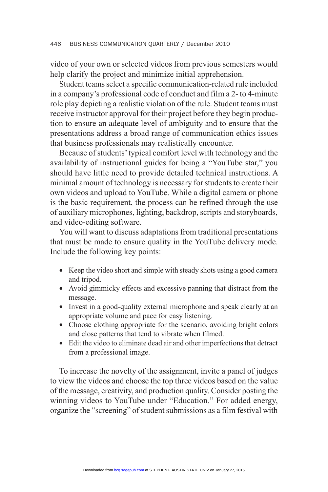video of your own or selected videos from previous semesters would help clarify the project and minimize initial apprehension.

Student teams select a specific communication-related rule included in a company's professional code of conduct and film a 2- to 4-minute role play depicting a realistic violation of the rule. Student teams must receive instructor approval for their project before they begin production to ensure an adequate level of ambiguity and to ensure that the presentations address a broad range of communication ethics issues that business professionals may realistically encounter.

Because of students' typical comfort level with technology and the availability of instructional guides for being a "YouTube star," you should have little need to provide detailed technical instructions. A minimal amount of technology is necessary for students to create their own videos and upload to YouTube. While a digital camera or phone is the basic requirement, the process can be refined through the use of auxiliary microphones, lighting, backdrop, scripts and storyboards, and video-editing software.

You will want to discuss adaptations from traditional presentations that must be made to ensure quality in the YouTube delivery mode. Include the following key points:

- Keep the video short and simple with steady shots using a good camera and tripod.
- Avoid gimmicky effects and excessive panning that distract from the message.
- Invest in a good-quality external microphone and speak clearly at an appropriate volume and pace for easy listening.
- Choose clothing appropriate for the scenario, avoiding bright colors and close patterns that tend to vibrate when filmed.
- · Edit the video to eliminate dead air and other imperfections that detract from a professional image.

To increase the novelty of the assignment, invite a panel of judges to view the videos and choose the top three videos based on the value of the message, creativity, and production quality. Consider posting the winning videos to YouTube under "Education." For added energy, organize the "screening" of student submissions as a film festival with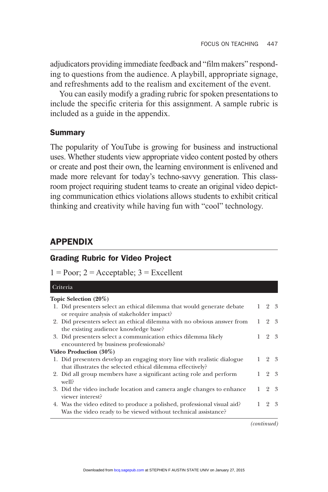adjudicators providing immediate feedback and "film makers" responding to questions from the audience. A playbill, appropriate signage, and refreshments add to the realism and excitement of the event.

You can easily modify a grading rubric for spoken presentations to include the specific criteria for this assignment. A sample rubric is included as a guide in the appendix.

#### **Summary**

The popularity of YouTube is growing for business and instructional uses. Whether students view appropriate video content posted by others or create and post their own, the learning environment is enlivened and made more relevant for today's techno-savvy generation. This classroom project requiring student teams to create an original video depicting communication ethics violations allows students to exhibit critical thinking and creativity while having fun with "cool" technology.

### **APPENDIX**

#### Grading Rubric for Video Project

 $1 = Poor$ ;  $2 = Acceptable$ ;  $3 = Excellent$ 

|                       | Criteria                                                                                                                                  |   |             |             |  |  |  |
|-----------------------|-------------------------------------------------------------------------------------------------------------------------------------------|---|-------------|-------------|--|--|--|
| Topic Selection (20%) |                                                                                                                                           |   |             |             |  |  |  |
|                       | 1. Did presenters select an ethical dilemma that would generate debate<br>or require analysis of stakeholder impact?                      | L | $2 \quad 3$ |             |  |  |  |
|                       | 2. Did presenters select an ethical dilemma with no obvious answer from<br>the existing audience knowledge base?                          |   |             | $2 \quad 3$ |  |  |  |
|                       | 3. Did presenters select a communication ethics dilemma likely<br>encountered by business professionals?                                  |   | 2 3         |             |  |  |  |
|                       | Video Production $(30\%)$                                                                                                                 |   |             |             |  |  |  |
|                       | 1. Did presenters develop an engaging story line with realistic dialogue<br>that illustrates the selected ethical dilemma effectively?    |   | 2 3         |             |  |  |  |
|                       | 2. Did all group members have a significant acting role and perform<br>well?                                                              |   | 2 3         |             |  |  |  |
|                       | 3. Did the video include location and camera angle changes to enhance<br>viewer interest?                                                 |   | 2 3         |             |  |  |  |
|                       | 4. Was the video edited to produce a polished, professional visual aid?<br>Was the video ready to be viewed without technical assistance? |   | 9           | - 3         |  |  |  |

*(continued)*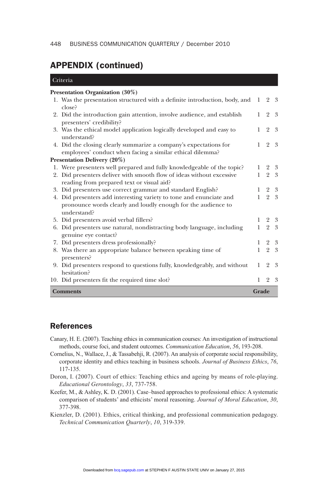# Appendix (continued)

#### Criteria

#### **Presentation Organization (30%)**

| <b>Comments</b>             |                                                                                   | Grade  |                     |     |  |  |
|-----------------------------|-----------------------------------------------------------------------------------|--------|---------------------|-----|--|--|
|                             | 10. Did presenters fit the required time slot?                                    | 1.     | 2 3                 |     |  |  |
|                             | hesitation?                                                                       |        |                     |     |  |  |
|                             | 9. Did presenters respond to questions fully, knowledgeably, and without          | 1      | $\overline{2}$      | -3  |  |  |
|                             | 8. Was there an appropriate balance between speaking time of<br>presenters?       |        |                     |     |  |  |
|                             | 7. Did presenters dress professionally?                                           | 1<br>1 | $\overline{2}$      | - 3 |  |  |
|                             | genuine eye contact?                                                              |        | $2 \quad 3$         |     |  |  |
|                             | 6. Did presenters use natural, nondistracting body language, including            | 1      | $\overline{2}$      | -3  |  |  |
|                             | 5. Did presenters avoid verbal fillers?                                           | 1      | $2 \quad 3$         |     |  |  |
|                             | pronounce words clearly and loudly enough for the audience to<br>understand?      |        |                     |     |  |  |
|                             | 4. Did presenters add interesting variety to tone and enunciate and               |        | $1 \t2 \t3$         |     |  |  |
|                             | 3. Did presenters use correct grammar and standard English?                       |        | $1 \quad 2 \quad 3$ |     |  |  |
|                             | reading from prepared text or visual aid?                                         |        |                     |     |  |  |
|                             | 2. Did presenters deliver with smooth flow of ideas without excessive             | 1.     | $\overline{2}$      | -3  |  |  |
|                             | 1. Were presenters well prepared and fully knowledgeable of the topic?            |        | 2 3                 |     |  |  |
| Presentation Delivery (20%) |                                                                                   |        |                     |     |  |  |
|                             | employees' conduct when facing a similar ethical dilemma?                         |        |                     |     |  |  |
|                             | understand?<br>4. Did the closing clearly summarize a company's expectations for  | 1.     | $\overline{2}$      | -3  |  |  |
|                             | 3. Was the ethical model application logically developed and easy to              | 1      | $\overline{2}$      | - 3 |  |  |
|                             | presenters' credibility?                                                          |        |                     |     |  |  |
|                             | close?<br>2. Did the introduction gain attention, involve audience, and establish | 1.     | $\overline{2}$      | - 3 |  |  |
|                             | 1. Was the presentation structured with a definite introduction, body, and        | 1      | $\overline{2}$      | - 3 |  |  |

#### References

- Canary, H. E. (2007). Teaching ethics in communication courses: An investigation of instructional methods, course foci, and student outcomes. *Communication Education*, *56*, 193-208.
- Cornelius, N., Wallace, J., & Tassabehji, R. (2007). An analysis of corporate social responsibility, corporate identity and ethics teaching in business schools. *Journal of Business Ethics*, *76*, 117-135.
- Doron, I. (2007). Court of ethics: Teaching ethics and ageing by means of role-playing. *Educational Gerontology*, *33*, 737-758.
- Keefer, M., & Ashley, K. D. (2001). Case–based approaches to professional ethics: A systematic comparison of students' and ethicists' moral reasoning. *Journal of Moral Education*, *30*, 377-398.
- Kienzler, D. (2001). Ethics, critical thinking, and professional communication pedagogy. *Technical Communication Quarterly*, *10*, 319-339.